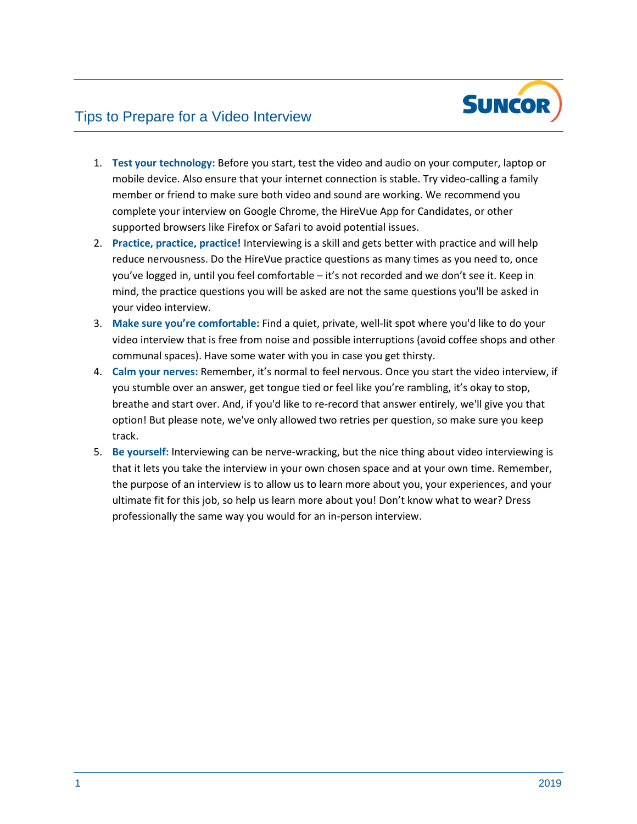

# Tips to Prepare for a Video Interview

- 1. **Test your technology:** Before you start, test the video and audio on your computer, laptop or mobile device. Also ensure that your internet connection is stable. Try video-calling a family member or friend to make sure both video and sound are working. We recommend you complete your interview on Google Chrome, the HireVue App for Candidates, or other supported browsers like Firefox or Safari to avoid potential issues.
- 2. **Practice, practice, practice!** Interviewing is a skill and gets better with practice and will help reduce nervousness. Do the HireVue practice questions as many times as you need to, once you've logged in, until you feel comfortable – it's not recorded and we don't see it. Keep in mind, the practice questions you will be asked are not the same questions you'll be asked in your video interview.
- 3. **Make sure you're comfortable:** Find a quiet, private, well-lit spot where you'd like to do your video interview that is free from noise and possible interruptions (avoid coffee shops and other communal spaces). Have some water with you in case you get thirsty.
- 4. **Calm your nerves:** Remember, it's normal to feel nervous. Once you start the video interview, if you stumble over an answer, get tongue tied or feel like you're rambling, it's okay to stop, breathe and start over. And, if you'd like to re-record that answer entirely, we'll give you that option! But please note, we've only allowed two retries per question, so make sure you keep track.
- 5. **Be yourself:** Interviewing can be nerve-wracking, but the nice thing about video interviewing is that it lets you take the interview in your own chosen space and at your own time. Remember, the purpose of an interview is to allow us to learn more about you, your experiences, and your ultimate fit for this job, so help us learn more about you! Don't know what to wear? Dress professionally the same way you would for an in-person interview.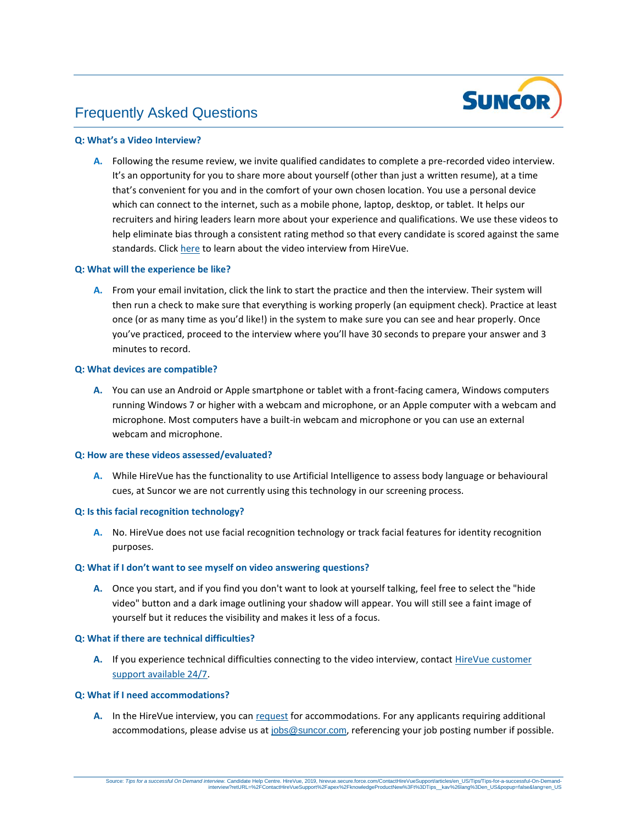

## Frequently Asked Questions

### **Q: What's a Video Interview?**

**A.** Following the resume review, we invite qualified candidates to complete a pre-recorded video interview. It's an opportunity for you to share more about yourself (other than just a written resume), at a time that's convenient for you and in the comfort of your own chosen location. You use a personal device which can connect to the internet, such as a mobile phone, laptop, desktop, or tablet. It helps our recruiters and hiring leaders learn more about your experience and qualifications. We use these videos to help eliminate bias through a consistent rating method so that every candidate is scored against the same standards. Clic[k here t](https://hirevue.secure.force.com/E2Candidate?lang=en_US)o learn about the video interview from HireVue.

### **Q: What will the experience be like?**

**A.** From your email invitation, click the link to start the practice and then the interview. Their system will then run a check to make sure that everything is working properly (an equipment check). Practice at least once (or as many time as you'd like!) in the system to make sure you can see and hear properly. Once you've practiced, proceed to the interview where you'll have 30 seconds to prepare your answer and 3 minutes to record.

### **Q: What devices are compatible?**

**A.** You can use an Android or Apple smartphone or tablet with a front-facing camera, Windows computers running Windows 7 or higher with a webcam and microphone, or an Apple computer with a webcam and microphone. Most computers have a built-in webcam and microphone or you can use an external webcam and microphone.

### **Q: How are these videos assessed/evaluated?**

**A.** While HireVue has the functionality to use Artificial Intelligence to assess body language or behavioural cues, at Suncor we are not currently using this technology in our screening process.

### **Q: Is this facial recognition technology?**

**A.** No. HireVue does not use facial recognition technology or track facial features for identity recognition purposes.

### **Q: What if I don't want to see myself on video answering questions?**

**A.** Once you start, and if you find you don't want to look at yourself talking, feel free to select the "hide video" button and a dark image outlining your shadow will appear. You will still see a faint image of yourself but it reduces the visibility and makes it less of a focus.

#### **Q: What if there are technical difficulties?**

**A.** If you experience technical difficulties connecting to the video interview, contact [HireVue customer](https://hirevue.secure.force.com/ContactHireVueSupport?lang=en_US) [support available 24/7.](https://hirevue.secure.force.com/ContactHireVueSupport?lang=en_US)

### **Q: What if I need accommodations?**

A. In the HireVue interview, you can [request](http://hirevue.force.com/ContactHireVueSupport/articles/en_US/InterviewProcess/ADA-Compliance-Steps?lang=en_US) for accommodations. For any applicants requiring additional accommodations, please advise us at [jobs@suncor.com](mailto:jobs@suncor.com), referencing your job posting number if possible.